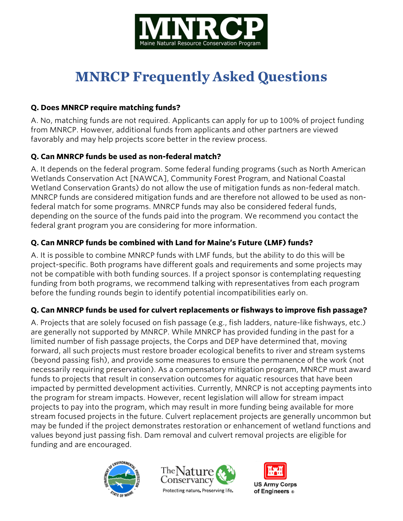

# **MNRCP Frequently Asked Questions**

## **Q. Does MNRCP require matching funds?**

A. No, matching funds are not required. Applicants can apply for up to 100% of project funding from MNRCP. However, additional funds from applicants and other partners are viewed favorably and may help projects score better in the review process.

# **Q. Can MNRCP funds be used as non-federal match?**

A. It depends on the federal program. Some federal funding programs (such as North American Wetlands Conservation Act [NAWCA], Community Forest Program, and National Coastal Wetland Conservation Grants) do not allow the use of mitigation funds as non-federal match. MNRCP funds are considered mitigation funds and are therefore not allowed to be used as nonfederal match for some programs. MNRCP funds may also be considered federal funds, depending on the source of the funds paid into the program. We recommend you contact the federal grant program you are considering for more information.

# **Q. Can MNRCP funds be combined with Land for Maine's Future (LMF) funds?**

A. It is possible to combine MNRCP funds with LMF funds, but the ability to do this will be project-specific. Both programs have different goals and requirements and some projects may not be compatible with both funding sources. If a project sponsor is contemplating requesting funding from both programs, we recommend talking with representatives from each program before the funding rounds begin to identify potential incompatibilities early on.

## **Q. Can MNRCP funds be used for culvert replacements or fishways to improve fish passage?**

A. Projects that are solely focused on fish passage (e.g., fish ladders, nature-like fishways, etc.) are generally not supported by MNRCP. While MNRCP has provided funding in the past for a limited number of fish passage projects, the Corps and DEP have determined that, moving forward, all such projects must restore broader ecological benefits to river and stream systems (beyond passing fish), and provide some measures to ensure the permanence of the work (not necessarily requiring preservation). As a compensatory mitigation program, MNRCP must award funds to projects that result in conservation outcomes for aquatic resources that have been impacted by permitted development activities. Currently, MNRCP is not accepting payments into the program for stream impacts. However, recent legislation will allow for stream impact projects to pay into the program, which may result in more funding being available for more stream focused projects in the future. Culvert replacement projects are generally uncommon but may be funded if the project demonstrates restoration or enhancement of wetland functions and values beyond just passing fish. Dam removal and culvert removal projects are eligible for funding and are encouraged.





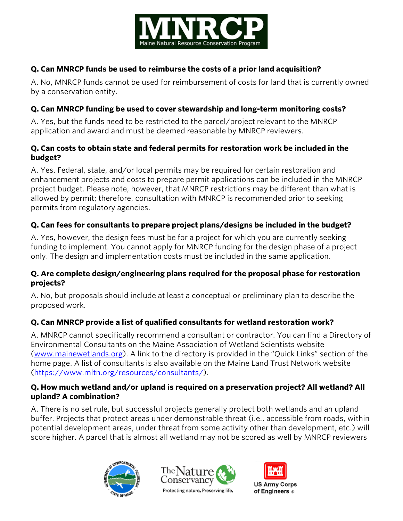

# **Q. Can MNRCP funds be used to reimburse the costs of a prior land acquisition?**

A. No, MNRCP funds cannot be used for reimbursement of costs for land that is currently owned by a conservation entity.

## **Q. Can MNRCP funding be used to cover stewardship and long-term monitoring costs?**

A. Yes, but the funds need to be restricted to the parcel/project relevant to the MNRCP application and award and must be deemed reasonable by MNRCP reviewers.

#### **Q. Can costs to obtain state and federal permits for restoration work be included in the budget?**

A. Yes. Federal, state, and/or local permits may be required for certain restoration and enhancement projects and costs to prepare permit applications can be included in the MNRCP project budget. Please note, however, that MNRCP restrictions may be different than what is allowed by permit; therefore, consultation with MNRCP is recommended prior to seeking permits from regulatory agencies.

## **Q. Can fees for consultants to prepare project plans/designs be included in the budget?**

A. Yes, however, the design fees must be for a project for which you are currently seeking funding to implement. You cannot apply for MNRCP funding for the design phase of a project only. The design and implementation costs must be included in the same application.

#### **Q. Are complete design/engineering plans required for the proposal phase for restoration projects?**

A. No, but proposals should include at least a conceptual or preliminary plan to describe the proposed work.

## **Q. Can MNRCP provide a list of qualified consultants for wetland restoration work?**

A. MNRCP cannot specifically recommend a consultant or contractor. You can find a Directory of Environmental Consultants on the Maine Association of Wetland Scientists website [\(www.mainewetlands.org\)](http://www.mainewetlands.org/). A link to the directory is provided in the "Quick Links" section of the home page. A list of consultants is also available on the Maine Land Trust Network website [\(https://www.mltn.org/resources/consultants/\)](https://www.mltn.org/resources/consultants/).

#### **Q. How much wetland and/or upland is required on a preservation project? All wetland? All upland? A combination?**

A. There is no set rule, but successful projects generally protect both wetlands and an upland buffer. Projects that protect areas under demonstrable threat (i.e., accessible from roads, within potential development areas, under threat from some activity other than development, etc.) will score higher. A parcel that is almost all wetland may not be scored as well by MNRCP reviewers





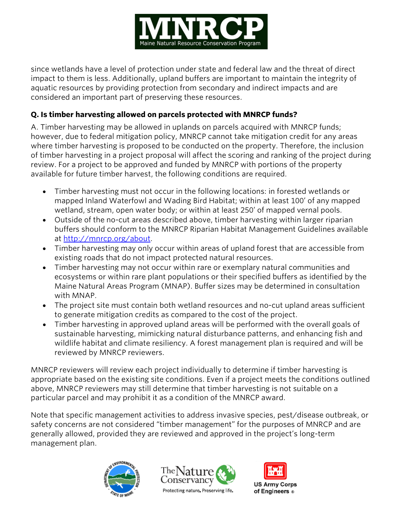

since wetlands have a level of protection under state and federal law and the threat of direct impact to them is less. Additionally, upland buffers are important to maintain the integrity of aquatic resources by providing protection from secondary and indirect impacts and are considered an important part of preserving these resources.

## **Q. Is timber harvesting allowed on parcels protected with MNRCP funds?**

A. Timber harvesting may be allowed in uplands on parcels acquired with MNRCP funds; however, due to federal mitigation policy, MNRCP cannot take mitigation credit for any areas where timber harvesting is proposed to be conducted on the property. Therefore, the inclusion of timber harvesting in a project proposal will affect the scoring and ranking of the project during review. For a project to be approved and funded by MNRCP with portions of the property available for future timber harvest, the following conditions are required.

- Timber harvesting must not occur in the following locations: in forested wetlands or mapped Inland Waterfowl and Wading Bird Habitat; within at least 100' of any mapped wetland, stream, open water body; or within at least 250' of mapped vernal pools.
- Outside of the no-cut areas described above, timber harvesting within larger riparian buffers should conform to the MNRCP Riparian Habitat Management Guidelines available at [http://mnrcp.org/about.](http://mnrcp.org/about)
- Timber harvesting may only occur within areas of upland forest that are accessible from existing roads that do not impact protected natural resources.
- Timber harvesting may not occur within rare or exemplary natural communities and ecosystems or within rare plant populations or their specified buffers as identified by the Maine Natural Areas Program (MNAP). Buffer sizes may be determined in consultation with MNAP.
- The project site must contain both wetland resources and no-cut upland areas sufficient to generate mitigation credits as compared to the cost of the project.
- Timber harvesting in approved upland areas will be performed with the overall goals of sustainable harvesting, mimicking natural disturbance patterns, and enhancing fish and wildlife habitat and climate resiliency. A forest management plan is required and will be reviewed by MNRCP reviewers.

MNRCP reviewers will review each project individually to determine if timber harvesting is appropriate based on the existing site conditions. Even if a project meets the conditions outlined above, MNRCP reviewers may still determine that timber harvesting is not suitable on a particular parcel and may prohibit it as a condition of the MNRCP award.

Note that specific management activities to address invasive species, pest/disease outbreak, or safety concerns are not considered "timber management" for the purposes of MNRCP and are generally allowed, provided they are reviewed and approved in the project's long-term management plan.